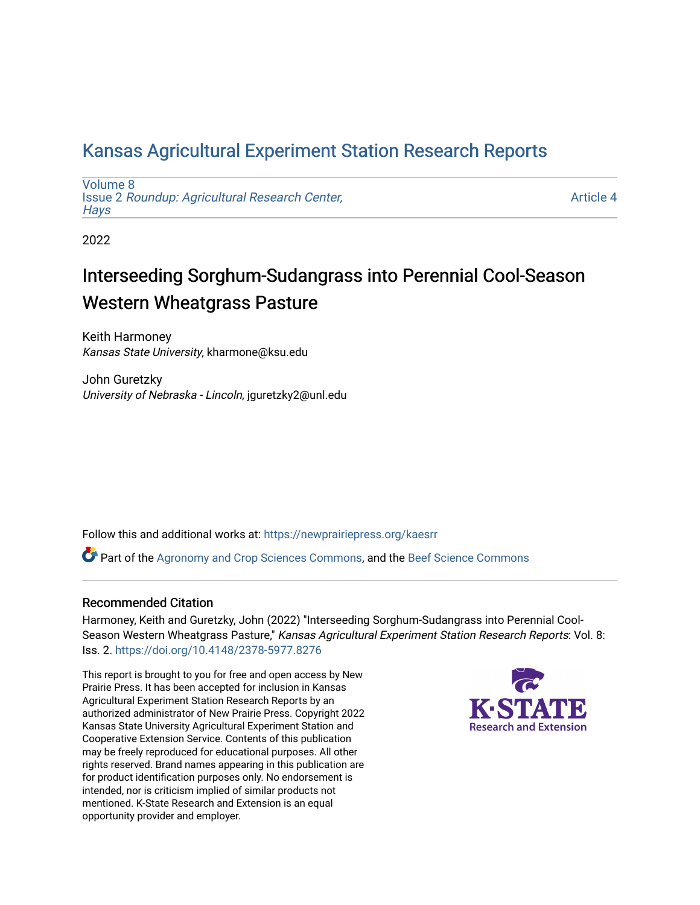## [Kansas Agricultural Experiment Station Research Reports](https://newprairiepress.org/kaesrr)

[Volume 8](https://newprairiepress.org/kaesrr/vol8) Issue 2 [Roundup: Agricultural Research Center,](https://newprairiepress.org/kaesrr/vol8/iss2)  **Hays** 

[Article 4](https://newprairiepress.org/kaesrr/vol8/iss2/4) 

2022

# Interseeding Sorghum-Sudangrass into Perennial Cool-Season Western Wheatgrass Pasture

Keith Harmoney Kansas State University, kharmone@ksu.edu

John Guretzky University of Nebraska - Lincoln, jguretzky2@unl.edu

Follow this and additional works at: [https://newprairiepress.org/kaesrr](https://newprairiepress.org/kaesrr?utm_source=newprairiepress.org%2Fkaesrr%2Fvol8%2Fiss2%2F4&utm_medium=PDF&utm_campaign=PDFCoverPages) 

Part of the [Agronomy and Crop Sciences Commons,](http://network.bepress.com/hgg/discipline/103?utm_source=newprairiepress.org%2Fkaesrr%2Fvol8%2Fiss2%2F4&utm_medium=PDF&utm_campaign=PDFCoverPages) and the [Beef Science Commons](http://network.bepress.com/hgg/discipline/1404?utm_source=newprairiepress.org%2Fkaesrr%2Fvol8%2Fiss2%2F4&utm_medium=PDF&utm_campaign=PDFCoverPages)

### Recommended Citation

Harmoney, Keith and Guretzky, John (2022) "Interseeding Sorghum-Sudangrass into Perennial Cool-Season Western Wheatgrass Pasture," Kansas Agricultural Experiment Station Research Reports: Vol. 8: Iss. 2. <https://doi.org/10.4148/2378-5977.8276>

This report is brought to you for free and open access by New Prairie Press. It has been accepted for inclusion in Kansas Agricultural Experiment Station Research Reports by an authorized administrator of New Prairie Press. Copyright 2022 Kansas State University Agricultural Experiment Station and Cooperative Extension Service. Contents of this publication may be freely reproduced for educational purposes. All other rights reserved. Brand names appearing in this publication are for product identification purposes only. No endorsement is intended, nor is criticism implied of similar products not mentioned. K-State Research and Extension is an equal opportunity provider and employer.

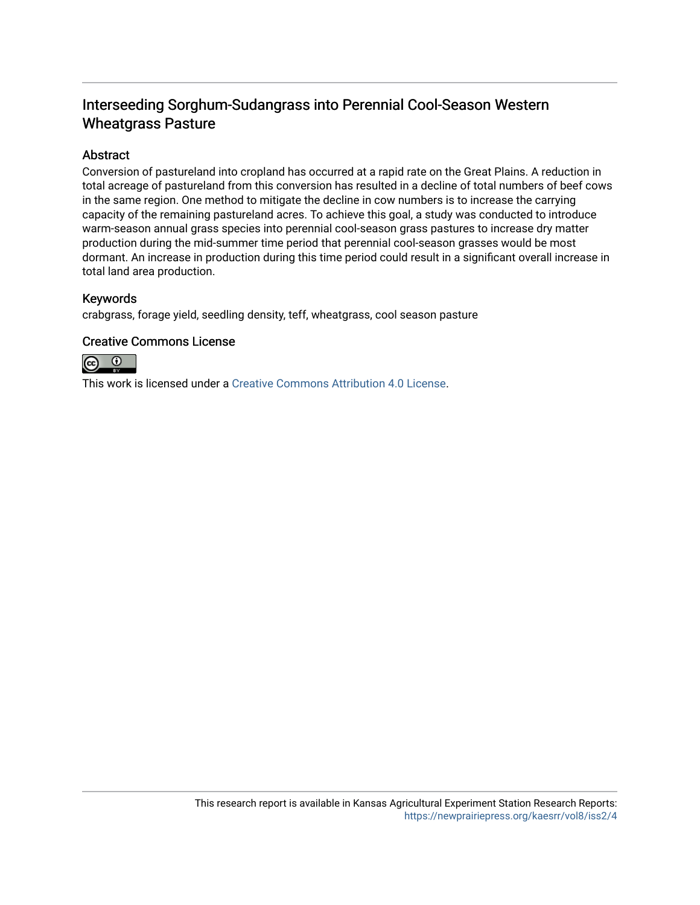## Interseeding Sorghum-Sudangrass into Perennial Cool-Season Western Wheatgrass Pasture

### Abstract

Conversion of pastureland into cropland has occurred at a rapid rate on the Great Plains. A reduction in total acreage of pastureland from this conversion has resulted in a decline of total numbers of beef cows in the same region. One method to mitigate the decline in cow numbers is to increase the carrying capacity of the remaining pastureland acres. To achieve this goal, a study was conducted to introduce warm-season annual grass species into perennial cool-season grass pastures to increase dry matter production during the mid-summer time period that perennial cool-season grasses would be most dormant. An increase in production during this time period could result in a significant overall increase in total land area production.

### Keywords

crabgrass, forage yield, seedling density, teff, wheatgrass, cool season pasture

### Creative Commons License



This work is licensed under a [Creative Commons Attribution 4.0 License](https://creativecommons.org/licenses/by/4.0/).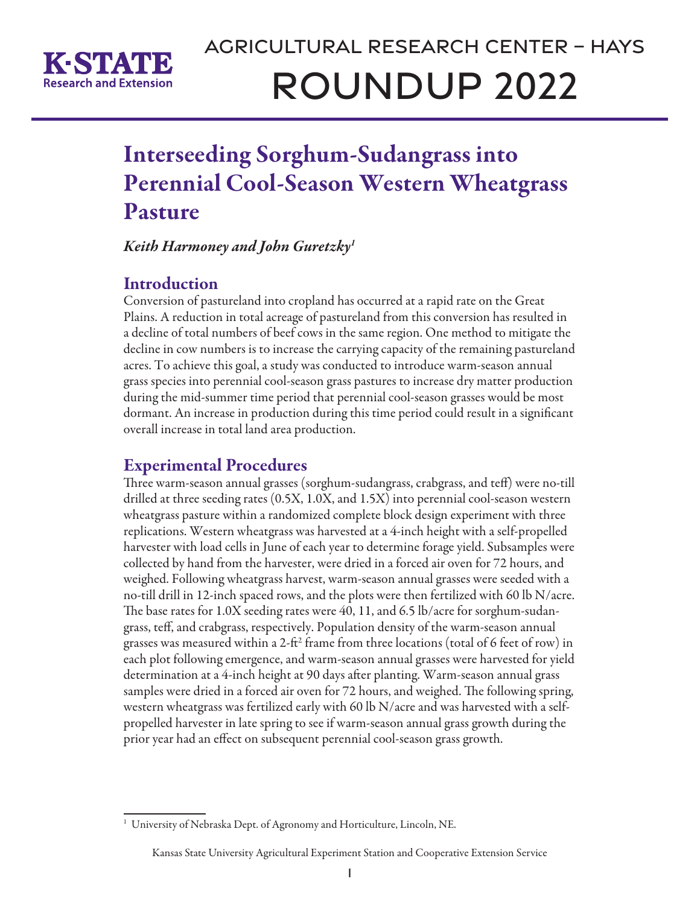

# Interseeding Sorghum-Sudangrass into Perennial Cool-Season Western Wheatgrass Pasture

*Keith Harmoney and John Guretzky1*

## **Introduction**

Conversion of pastureland into cropland has occurred at a rapid rate on the Great Plains. A reduction in total acreage of pastureland from this conversion has resulted in a decline of total numbers of beef cows in the same region. One method to mitigate the decline in cow numbers is to increase the carrying capacity of the remaining pastureland acres. To achieve this goal, a study was conducted to introduce warm-season annual grass species into perennial cool-season grass pastures to increase dry matter production during the mid-summer time period that perennial cool-season grasses would be most dormant. An increase in production during this time period could result in a significant overall increase in total land area production.

## Experimental Procedures

Three warm-season annual grasses (sorghum-sudangrass, crabgrass, and teff) were no-till drilled at three seeding rates (0.5X, 1.0X, and 1.5X) into perennial cool-season western wheatgrass pasture within a randomized complete block design experiment with three replications. Western wheatgrass was harvested at a 4-inch height with a self-propelled harvester with load cells in June of each year to determine forage yield. Subsamples were collected by hand from the harvester, were dried in a forced air oven for 72 hours, and weighed. Following wheatgrass harvest, warm-season annual grasses were seeded with a no-till drill in 12-inch spaced rows, and the plots were then fertilized with 60 lb N/acre. The base rates for 1.0X seeding rates were 40, 11, and 6.5 lb/acre for sorghum-sudangrass, teff, and crabgrass, respectively. Population density of the warm-season annual grasses was measured within a 2-ft<sup>2</sup> frame from three locations (total of 6 feet of row) in each plot following emergence, and warm-season annual grasses were harvested for yield determination at a 4-inch height at 90 days after planting. Warm-season annual grass samples were dried in a forced air oven for 72 hours, and weighed. The following spring, western wheatgrass was fertilized early with 60 lb N/acre and was harvested with a selfpropelled harvester in late spring to see if warm-season annual grass growth during the prior year had an effect on subsequent perennial cool-season grass growth.

#### Kansas State University Agricultural Experiment Station and Cooperative Extension Service

<sup>&</sup>lt;sup>1</sup> University of Nebraska Dept. of Agronomy and Horticulture, Lincoln, NE.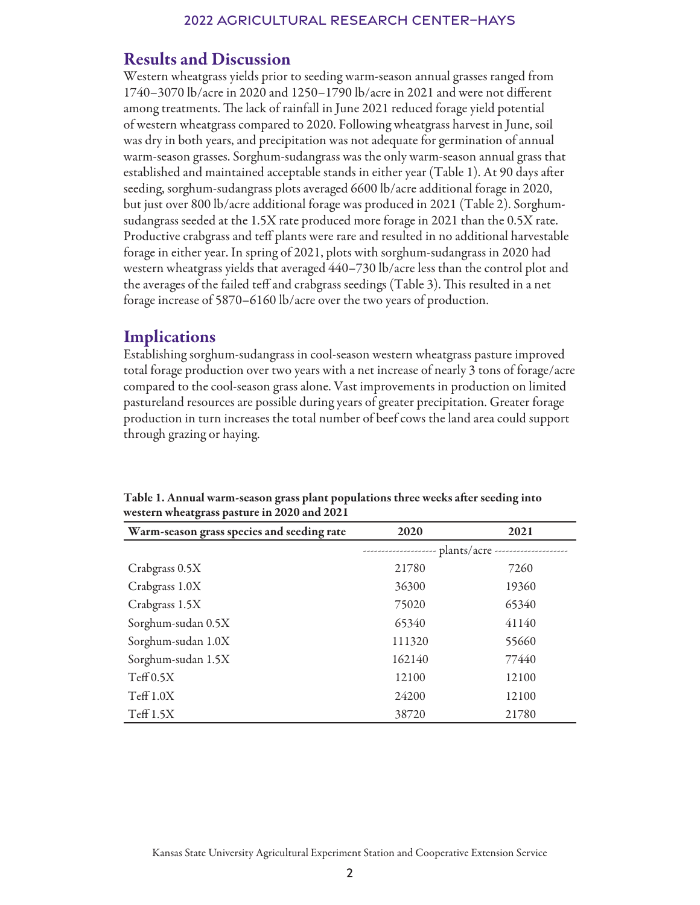## Results and Discussion

Western wheatgrass yields prior to seeding warm-season annual grasses ranged from 1740–3070 lb/acre in 2020 and 1250–1790 lb/acre in 2021 and were not different among treatments. The lack of rainfall in June 2021 reduced forage yield potential of western wheatgrass compared to 2020. Following wheatgrass harvest in June, soil was dry in both years, and precipitation was not adequate for germination of annual warm-season grasses. Sorghum-sudangrass was the only warm-season annual grass that established and maintained acceptable stands in either year (Table 1). At 90 days after seeding, sorghum-sudangrass plots averaged 6600 lb/acre additional forage in 2020, but just over 800 lb/acre additional forage was produced in 2021 (Table 2). Sorghumsudangrass seeded at the 1.5X rate produced more forage in 2021 than the 0.5X rate. Productive crabgrass and teff plants were rare and resulted in no additional harvestable forage in either year. In spring of 2021, plots with sorghum-sudangrass in 2020 had western wheatgrass yields that averaged 440–730 lb/acre less than the control plot and the averages of the failed teff and crabgrass seedings (Table 3). This resulted in a net forage increase of 5870–6160 lb/acre over the two years of production.

## **Implications**

Establishing sorghum-sudangrass in cool-season western wheatgrass pasture improved total forage production over two years with a net increase of nearly 3 tons of forage/acre compared to the cool-season grass alone. Vast improvements in production on limited pastureland resources are possible during years of greater precipitation. Greater forage production in turn increases the total number of beef cows the land area could support through grazing or haying.

| Warm-season grass species and seeding rate | 2020                              | 2021  |
|--------------------------------------------|-----------------------------------|-------|
|                                            | plants/acre --------------------- |       |
| Crabgrass 0.5X                             | 21780                             | 7260  |
| Crabgrass 1.0X                             | 36300                             | 19360 |
| Crabgrass 1.5X                             | 75020                             | 65340 |
| Sorghum-sudan 0.5X                         | 65340                             | 41140 |
| Sorghum-sudan 1.0X                         | 111320                            | 55660 |
| Sorghum-sudan 1.5X                         | 162140                            | 77440 |
| Teff 0.5X                                  | 12100                             | 12100 |
| $T\text{eff} 1.0X$                         | 24200                             | 12100 |
| $T\text{eff} 1.5X$                         | 38720                             | 21780 |

Table 1. Annual warm-season grass plant populations three weeks after seeding into western wheatgrass pasture in 2020 and 2021